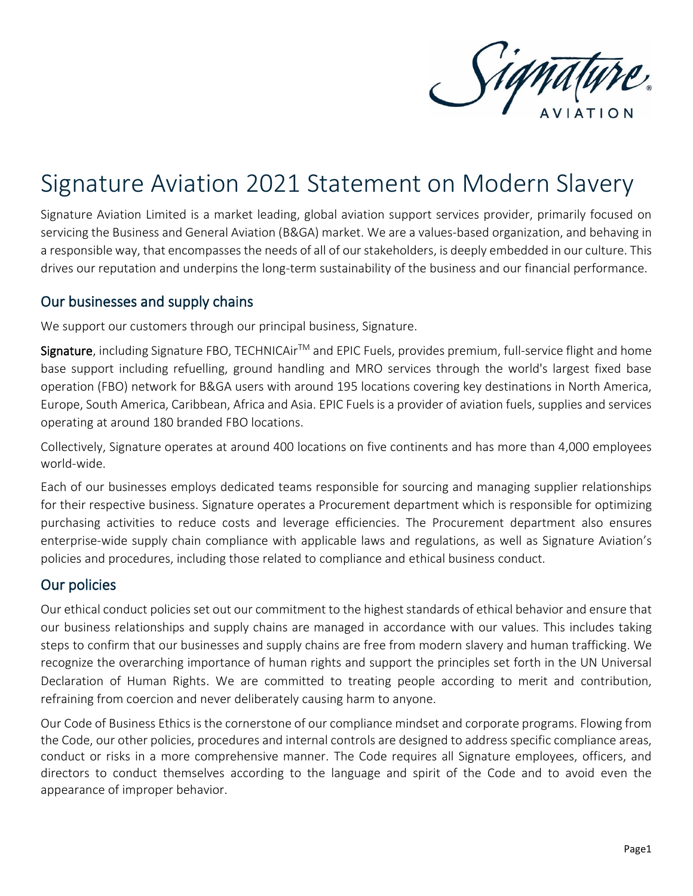

# Signature Aviation 2021 Statement on Modern Slavery

Signature Aviation Limited is a market leading, global aviation support services provider, primarily focused on servicing the Business and General Aviation (B&GA) market. We are a values-based organization, and behaving in a responsible way, that encompasses the needs of all of our stakeholders, is deeply embedded in our culture. This drives our reputation and underpins the long-term sustainability of the business and our financial performance.

### Our businesses and supply chains

We support our customers through our principal business, Signature.

Signature, including Signature FBO, TECHNICAir<sup>™</sup> and EPIC Fuels, provides premium, full-service flight and home base support including refuelling, ground handling and MRO services through the world's largest fixed base operation (FBO) network for B&GA users with around 195 locations covering key destinations in North America, Europe, South America, Caribbean, Africa and Asia. EPIC Fuels is a provider of aviation fuels, supplies and services operating at around 180 branded FBO locations.

Collectively, Signature operates at around 400 locations on five continents and has more than 4,000 employees world-wide.

Each of our businesses employs dedicated teams responsible for sourcing and managing supplier relationships for their respective business. Signature operates a Procurement department which is responsible for optimizing purchasing activities to reduce costs and leverage efficiencies. The Procurement department also ensures enterprise-wide supply chain compliance with applicable laws and regulations, as well as Signature Aviation's policies and procedures, including those related to compliance and ethical business conduct.

## Our policies

Our ethical conduct policies set out our commitment to the highest standards of ethical behavior and ensure that our business relationships and supply chains are managed in accordance with our values. This includes taking steps to confirm that our businesses and supply chains are free from modern slavery and human trafficking. We recognize the overarching importance of human rights and support the principles set forth in the UN Universal Declaration of Human Rights. We are committed to treating people according to merit and contribution, refraining from coercion and never deliberately causing harm to anyone.

Our Code of Business Ethics is the cornerstone of our compliance mindset and corporate programs. Flowing from the Code, our other policies, procedures and internal controls are designed to address specific compliance areas, conduct or risks in a more comprehensive manner. The Code requires all Signature employees, officers, and directors to conduct themselves according to the language and spirit of the Code and to avoid even the appearance of improper behavior.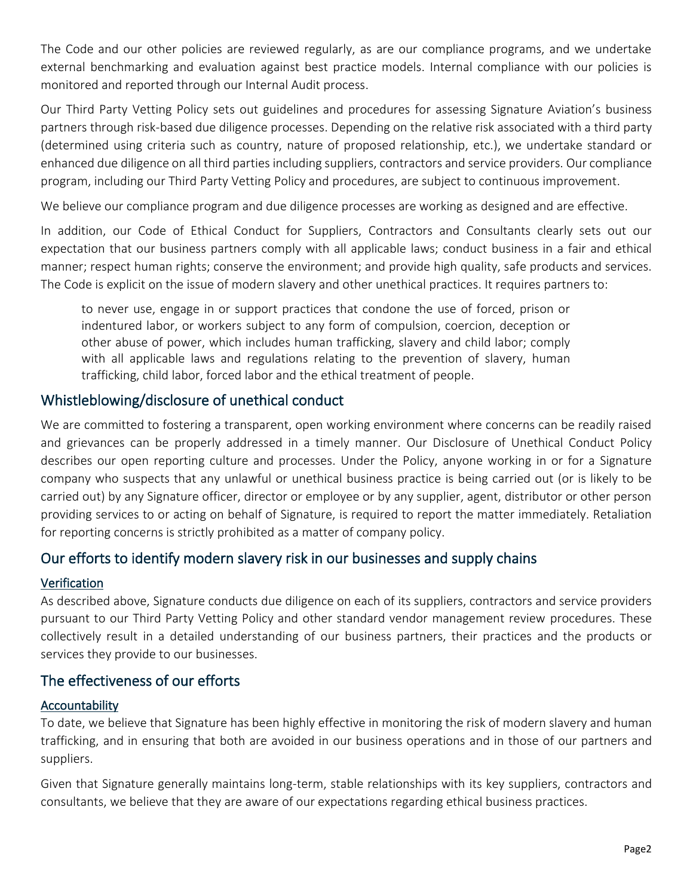The Code and our other policies are reviewed regularly, as are our compliance programs, and we undertake external benchmarking and evaluation against best practice models. Internal compliance with our policies is monitored and reported through our Internal Audit process.

Our Third Party Vetting Policy sets out guidelines and procedures for assessing Signature Aviation's business partners through risk-based due diligence processes. Depending on the relative risk associated with a third party (determined using criteria such as country, nature of proposed relationship, etc.), we undertake standard or enhanced due diligence on all third parties including suppliers, contractors and service providers. Our compliance program, including our Third Party Vetting Policy and procedures, are subject to continuous improvement.

We believe our compliance program and due diligence processes are working as designed and are effective.

In addition, our Code of Ethical Conduct for Suppliers, Contractors and Consultants clearly sets out our expectation that our business partners comply with all applicable laws; conduct business in a fair and ethical manner; respect human rights; conserve the environment; and provide high quality, safe products and services. The Code is explicit on the issue of modern slavery and other unethical practices. It requires partners to:

to never use, engage in or support practices that condone the use of forced, prison or indentured labor, or workers subject to any form of compulsion, coercion, deception or other abuse of power, which includes human trafficking, slavery and child labor; comply with all applicable laws and regulations relating to the prevention of slavery, human trafficking, child labor, forced labor and the ethical treatment of people.

## Whistleblowing/disclosure of unethical conduct

We are committed to fostering a transparent, open working environment where concerns can be readily raised and grievances can be properly addressed in a timely manner. Our Disclosure of Unethical Conduct Policy describes our open reporting culture and processes. Under the Policy, anyone working in or for a Signature company who suspects that any unlawful or unethical business practice is being carried out (or is likely to be carried out) by any Signature officer, director or employee or by any supplier, agent, distributor or other person providing services to or acting on behalf of Signature, is required to report the matter immediately. Retaliation for reporting concerns is strictly prohibited as a matter of company policy.

## Our efforts to identify modern slavery risk in our businesses and supply chains

#### Verification

As described above, Signature conducts due diligence on each of its suppliers, contractors and service providers pursuant to our Third Party Vetting Policy and other standard vendor management review procedures. These collectively result in a detailed understanding of our business partners, their practices and the products or services they provide to our businesses.

## The effectiveness of our efforts

#### Accountability

To date, we believe that Signature has been highly effective in monitoring the risk of modern slavery and human trafficking, and in ensuring that both are avoided in our business operations and in those of our partners and suppliers.

Given that Signature generally maintains long-term, stable relationships with its key suppliers, contractors and consultants, we believe that they are aware of our expectations regarding ethical business practices.